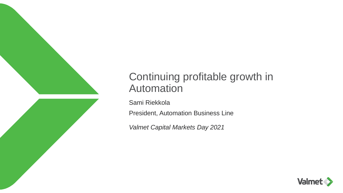

# Continuing profitable growth in **Automation**

Sami Riekkola

President, Automation Business Line

*Valmet Capital Markets Day 2021*

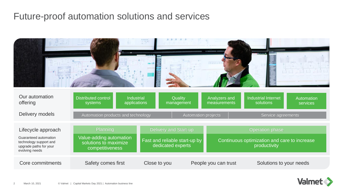# Future-proof automation solutions and services



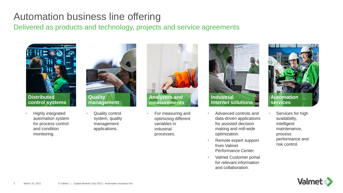# Automation business line offering

Delivered as products and technology, projects and service agreements





- Highly integrated automation system for process control and condition monitoring.
- **Quality control** system, quality management applications.



• For measuring and optimizing different variables in industrial processes.



- Advanced controls and data-driven applications for assisted decision making and mill-wide optimization.
- Remote expert support from Valmet Performance Center.
- Valmet Customer portal for relevant information and collaboration.



Services for high availability, intelligent maintenance, process performance and risk control.

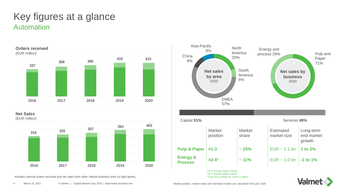# Automation Key figures at a glance



**Net Sales**

(EUR million)



Includes internal orders received and net sales from other Valmet business lines (in light green).

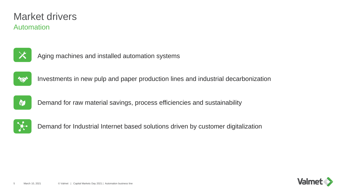# Automation Market drivers



Aging machines and installed automation systems



Investments in new pulp and paper production lines and industrial decarbonization



Demand for raw material savings, process efficiencies and sustainability



Demand for Industrial Internet based solutions driven by customer digitalization

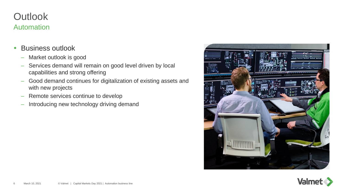# **Outlook** Automation

- Business outlook
	- Market outlook is good
	- Services demand will remain on good level driven by local capabilities and strong offering
	- Good demand continues for digitalization of existing assets and with new projects
	- Remote services continue to develop
	- Introducing new technology driving demand



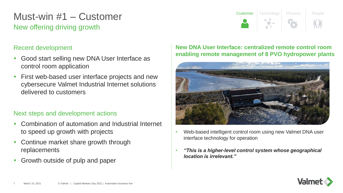# New offering driving growth Must-win #1 – Customer

### Recent development

- Good start selling new DNA User Interface as control room application
- First web-based user interface projects and new cybersecure Valmet Industrial Internet solutions delivered to customers

### Next steps and development actions

- Combination of automation and Industrial Internet to speed up growth with projects
- Continue market share growth through replacements
- Growth outside of pulp and paper

### **New DNA User Interface: centralized remote control room enabling remote management of 8 PVO hydropower plants**

Customer Technology Process People



- Web-based intelligent control room using new Valmet DNA user interface technology for operation
- *"This is a higher-level control system whose geographical location is irrelevant."*

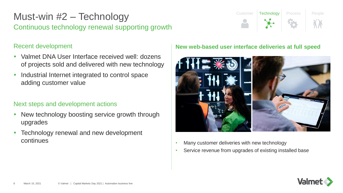# Continuous technology renewal supporting growth Must-win #2 – Technology

### Recent development

- Valmet DNA User Interface received well: dozens of projects sold and delivered with new technology
- Industrial Internet integrated to control space adding customer value

### Next steps and development actions

- New technology boosting service growth through upgrades
- Technology renewal and new development continues

### **New web-based user interface deliveries at full speed**

Customer | Technology | Process | People



- Many customer deliveries with new technology
- Service revenue from upgrades of existing installed base

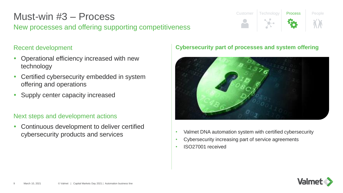# Must-win #3 – Process

New processes and offering supporting competitiveness

# Recent development

- Operational efficiency increased with new technology
- Certified cybersecurity embedded in system offering and operations
- Supply center capacity increased

## Next steps and development actions

 Continuous development to deliver certified cybersecurity products and services

### **Cybersecurity part of processes and system offering**

Customer Technology Process People



- Valmet DNA automation system with certified cybersecurity
- Cybersecurity increasing part of service agreements
- ISO27001 received

![](_page_8_Picture_13.jpeg)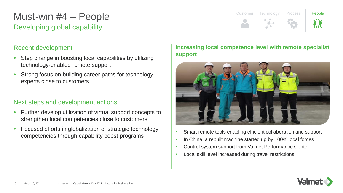# Developing global capability Must-win #4 – People

### Recent development

- Step change in boosting local capabilities by utilizing technology-enabled remote support
- Strong focus on building career paths for technology experts close to customers

### Next steps and development actions

- Further develop utilization of virtual support concepts to strengthen local competencies close to customers
- Focused efforts in globalization of strategic technology competencies through capability boost programs

### **Increasing local competence level with remote specialist support**

Customer Technology Process **People** 

![](_page_9_Picture_8.jpeg)

- Smart remote tools enabling efficient collaboration and support
- In China, a rebuilt machine started up by 100% local forces
- Control system support from Valmet Performance Center
- Local skill level increased during travel restrictions

![](_page_9_Picture_13.jpeg)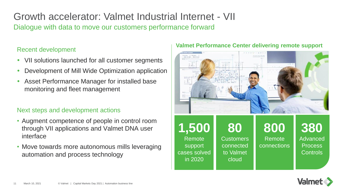Growth accelerator: Valmet Industrial Internet - VII Dialogue with data to move our customers performance forward

- VII solutions launched for all customer segments
- Development of Mill Wide Optimization application
- Asset Performance Manager for installed base monitoring and fleet management

### Next steps and development actions

- Augment competence of people in control room through VII applications and Valmet DNA user interface
- Move towards more autonomous mills leveraging automation and process technology

# **Valmet Performance Center delivering remote support** Recent development

![](_page_10_Picture_9.jpeg)

![](_page_10_Picture_10.jpeg)